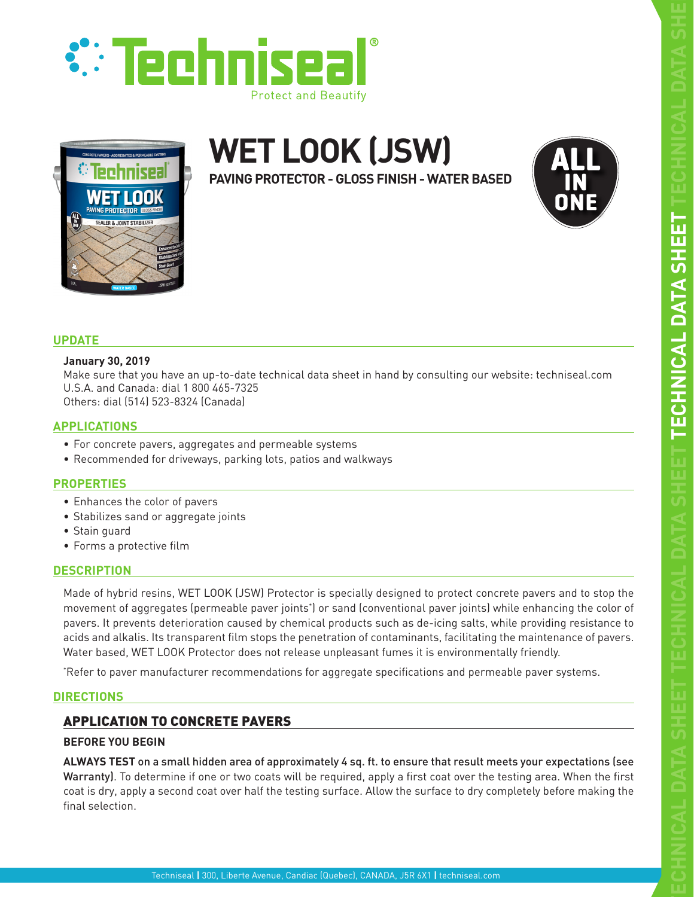



# **WET LOOK (JSW)**

**PAVING PROTECTOR - GLOSS FINISH - WATER BASED**



# **UPDATE**

# **January 30, 2019**

Make sure that you have an up-to-date technical data sheet in hand by consulting our website: techniseal.com U.S.A. and Canada: dial 1 800 465-7325 Others: dial (514) 523-8324 (Canada)

# **APPLICATIONS**

- For concrete pavers, aggregates and permeable systems
- Recommended for driveways, parking lots, patios and walkways

# **PROPERTIES**

- Enhances the color of pavers
- Stabilizes sand or aggregate joints
- Stain guard
- Forms a protective film

# **DESCRIPTION**

Made of hybrid resins, WET LOOK (JSW) Protector is specially designed to protect concrete pavers and to stop the movement of aggregates (permeable paver joints\* ) or sand (conventional paver joints) while enhancing the color of pavers. It prevents deterioration caused by chemical products such as de-icing salts, while providing resistance to acids and alkalis. Its transparent film stops the penetration of contaminants, facilitating the maintenance of pavers. Water based, WET LOOK Protector does not release unpleasant fumes it is environmentally friendly.

\* Refer to paver manufacturer recommendations for aggregate specifications and permeable paver systems.

# **DIRECTIONS**

# APPLICATION TO CONCRETE PAVERS

# **BEFORE YOU BEGIN**

**ALWAYS TEST** on a small hidden area of approximately 4 sq. ft. to ensure that result meets your expectations (see Warranty). To determine if one or two coats will be required, apply a first coat over the testing area. When the first coat is dry, apply a second coat over half the testing surface. Allow the surface to dry completely before making the final selection.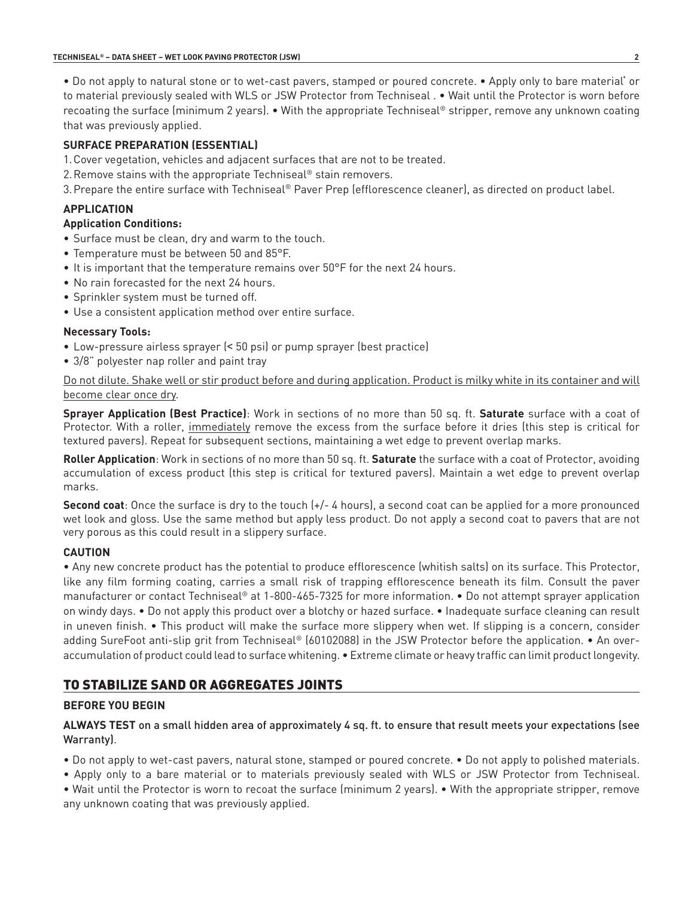• Do not apply to natural stone or to wet-cast pavers, stamped or poured concrete. • Apply only to bare material\* or to material previously sealed with WLS or JSW Protector from Techniseal . • Wait until the Protector is worn before recoating the surface (minimum 2 years). • With the appropriate Techniseal® stripper, remove any unknown coating that was previously applied.

# **SURFACE PREPARATION (ESSENTIAL)**

- 1.Cover vegetation, vehicles and adjacent surfaces that are not to be treated.
- 2.Remove stains with the appropriate Techniseal® stain removers.
- 3.Prepare the entire surface with Techniseal® Paver Prep (efflorescence cleaner), as directed on product label.

# **APPLICATION**

#### **Application Conditions:**

- Surface must be clean, dry and warm to the touch.
- Temperature must be between 50 and 85°F.
- It is important that the temperature remains over 50°F for the next 24 hours.
- No rain forecasted for the next 24 hours.
- Sprinkler system must be turned off.
- Use a consistent application method over entire surface.

#### **Necessary Tools:**

- Low-pressure airless sprayer (< 50 psi) or pump sprayer (best practice)
- 3/8" polyester nap roller and paint tray

Do not dilute. Shake well or stir product before and during application. Product is milky white in its container and will become clear once dry.

**Sprayer Application (Best Practice)**: Work in sections of no more than 50 sq. ft. **Saturate** surface with a coat of Protector. With a roller, immediately remove the excess from the surface before it dries (this step is critical for textured pavers). Repeat for subsequent sections, maintaining a wet edge to prevent overlap marks.

**Roller Application**: Work in sections of no more than 50 sq. ft. **Saturate** the surface with a coat of Protector, avoiding accumulation of excess product (this step is critical for textured pavers). Maintain a wet edge to prevent overlap marks.

**Second coat**: Once the surface is dry to the touch  $(+/- 4$  hours), a second coat can be applied for a more pronounced wet look and gloss. Use the same method but apply less product. Do not apply a second coat to pavers that are not very porous as this could result in a slippery surface.

# **CAUTION**

• Any new concrete product has the potential to produce efflorescence (whitish salts) on its surface. This Protector, like any film forming coating, carries a small risk of trapping efflorescence beneath its film. Consult the paver manufacturer or contact Techniseal® at 1-800-465-7325 for more information. • Do not attempt sprayer application on windy days. • Do not apply this product over a blotchy or hazed surface. • Inadequate surface cleaning can result in uneven finish. • This product will make the surface more slippery when wet. If slipping is a concern, consider adding SureFoot anti-slip grit from Techniseal® (60102088) in the JSW Protector before the application. • An overaccumulation of product could lead to surface whitening. • Extreme climate or heavy traffic can limit product longevity.

# TO STABILIZE SAND OR AGGREGATES JOINTS

# **BEFORE YOU BEGIN**

**ALWAYS TEST** on a small hidden area of approximately 4 sq. ft. to ensure that result meets your expectations (see Warranty).

• Do not apply to wet-cast pavers, natural stone, stamped or poured concrete. • Do not apply to polished materials.

- Apply only to a bare material or to materials previously sealed with WLS or JSW Protector from Techniseal.
- Wait until the Protector is worn to recoat the surface (minimum 2 years). With the appropriate stripper, remove any unknown coating that was previously applied.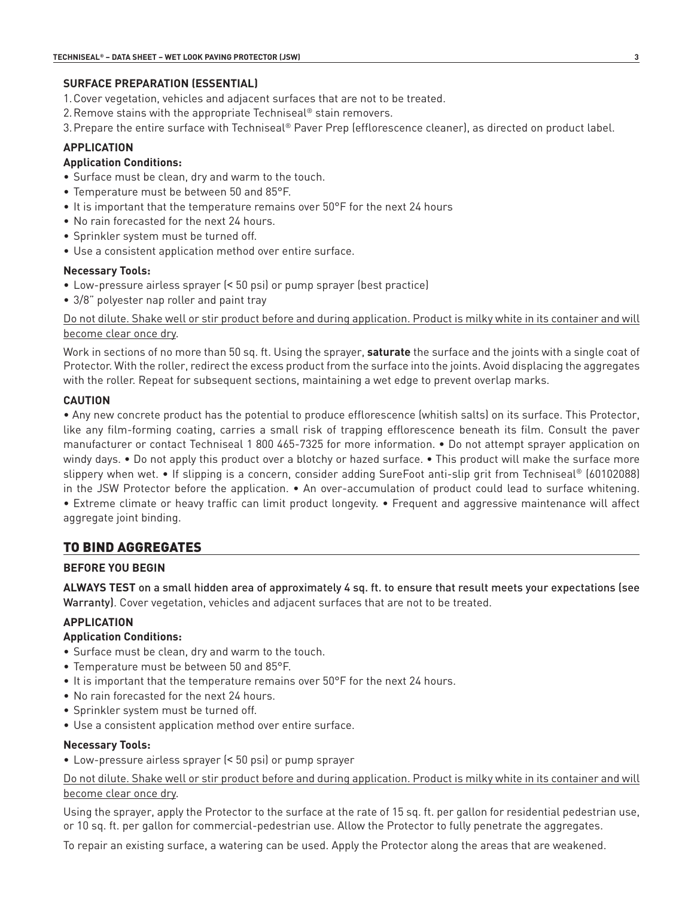#### **SURFACE PREPARATION (ESSENTIAL)**

- 1.Cover vegetation, vehicles and adjacent surfaces that are not to be treated.
- 2.Remove stains with the appropriate Techniseal® stain removers.
- 3.Prepare the entire surface with Techniseal® Paver Prep (efflorescence cleaner), as directed on product label.

# **APPLICATION**

#### **Application Conditions:**

- Surface must be clean, dry and warm to the touch.
- Temperature must be between 50 and 85°F.
- It is important that the temperature remains over 50°F for the next 24 hours
- No rain forecasted for the next 24 hours.
- Sprinkler system must be turned off.
- Use a consistent application method over entire surface.

#### **Necessary Tools:**

- Low-pressure airless sprayer (< 50 psi) or pump sprayer (best practice)
- 3/8" polyester nap roller and paint tray

Do not dilute. Shake well or stir product before and during application. Product is milky white in its container and will become clear once dry.

Work in sections of no more than 50 sq. ft. Using the sprayer, **saturate** the surface and the joints with a single coat of Protector. With the roller, redirect the excess product from the surface into the joints. Avoid displacing the aggregates with the roller. Repeat for subsequent sections, maintaining a wet edge to prevent overlap marks.

#### **CAUTION**

• Any new concrete product has the potential to produce efflorescence (whitish salts) on its surface. This Protector, like any film-forming coating, carries a small risk of trapping efflorescence beneath its film. Consult the paver manufacturer or contact Techniseal 1 800 465-7325 for more information. • Do not attempt sprayer application on windy days. • Do not apply this product over a blotchy or hazed surface. • This product will make the surface more slippery when wet. • If slipping is a concern, consider adding SureFoot anti-slip grit from Techniseal® (60102088) in the JSW Protector before the application. • An over-accumulation of product could lead to surface whitening. • Extreme climate or heavy traffic can limit product longevity. • Frequent and aggressive maintenance will affect aggregate joint binding.

# TO BIND AGGREGATES

# **BEFORE YOU BEGIN**

**ALWAYS TEST** on a small hidden area of approximately 4 sq. ft. to ensure that result meets your expectations (see Warranty). Cover vegetation, vehicles and adjacent surfaces that are not to be treated.

# **APPLICATION**

#### **Application Conditions:**

- Surface must be clean, dry and warm to the touch.
- Temperature must be between 50 and 85°F.
- It is important that the temperature remains over 50°F for the next 24 hours.
- No rain forecasted for the next 24 hours.
- Sprinkler system must be turned off.
- Use a consistent application method over entire surface.

#### **Necessary Tools:**

• Low-pressure airless sprayer (< 50 psi) or pump sprayer

Do not dilute. Shake well or stir product before and during application. Product is milky white in its container and will become clear once dry.

Using the sprayer, apply the Protector to the surface at the rate of 15 sq. ft. per gallon for residential pedestrian use, or 10 sq. ft. per gallon for commercial-pedestrian use. Allow the Protector to fully penetrate the aggregates.

To repair an existing surface, a watering can be used. Apply the Protector along the areas that are weakened.